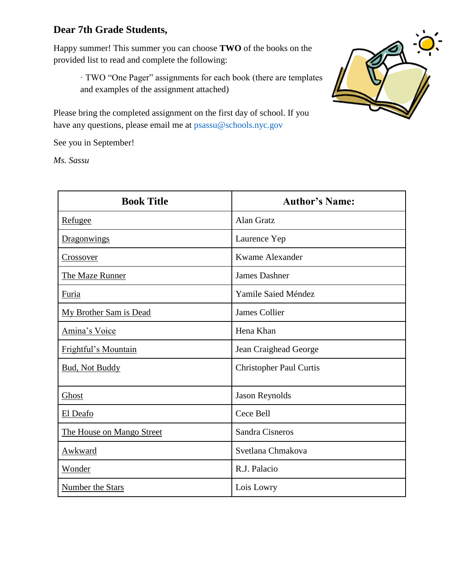# **Dear 7th Grade Students,**

Happy summer! This summer you can choose **TWO** of the books on the provided list to read and complete the following:

> · TWO "One Pager" assignments for each book (there are templates and examples of the assignment attached)

Please bring the completed assignment on the first day of school. If you have any questions, please email me at  $p$ sassu@schools.nyc.gov

See you in September!

*Ms. Sassu* 



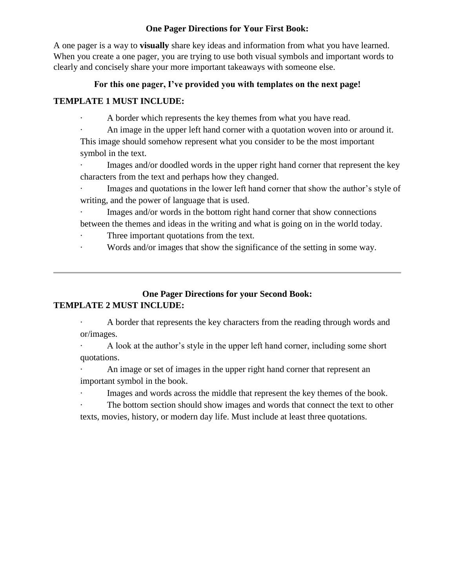### **One Pager Directions for Your First Book:**

A one pager is a way to **visually** share key ideas and information from what you have learned. When you create a one pager, you are trying to use both visual symbols and important words to clearly and concisely share your more important takeaways with someone else.

#### **For this one pager, I've provided you with templates on the next page!**

#### **TEMPLATE 1 MUST INCLUDE:**

A border which represents the key themes from what you have read.

An image in the upper left hand corner with a quotation woven into or around it. This image should somehow represent what you consider to be the most important symbol in the text.

· Images and/or doodled words in the upper right hand corner that represent the key characters from the text and perhaps how they changed.

Images and quotations in the lower left hand corner that show the author's style of writing, and the power of language that is used.

Images and/or words in the bottom right hand corner that show connections between the themes and ideas in the writing and what is going on in the world today.

- Three important quotations from the text.
- · Words and/or images that show the significance of the setting in some way.

## **One Pager Directions for your Second Book: TEMPLATE 2 MUST INCLUDE:**

A border that represents the key characters from the reading through words and or/images.

· A look at the author's style in the upper left hand corner, including some short quotations.

An image or set of images in the upper right hand corner that represent an important symbol in the book.

Images and words across the middle that represent the key themes of the book.

The bottom section should show images and words that connect the text to other texts, movies, history, or modern day life. Must include at least three quotations.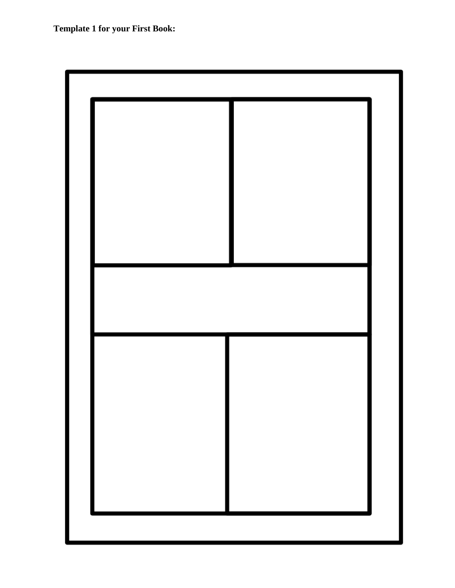**Template 1 for your First Book:**

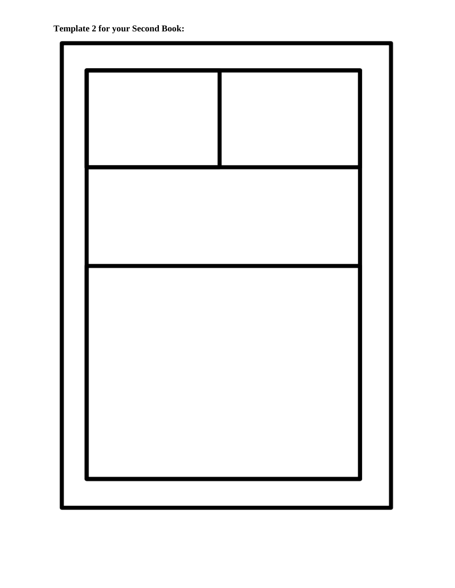**Template 2 for your Second Book:**